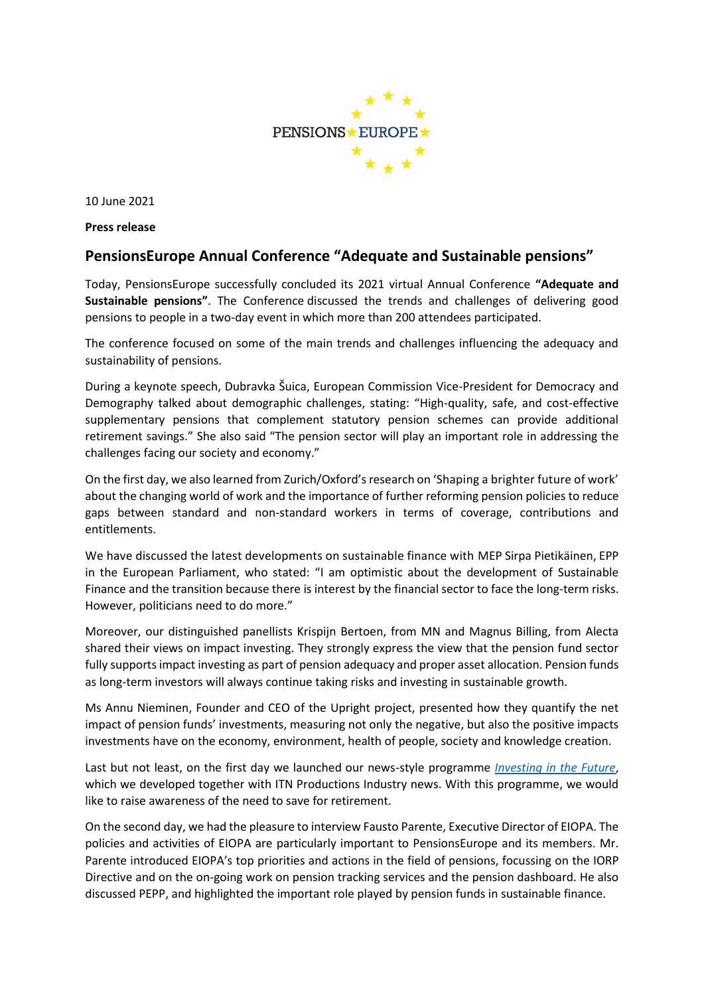

10 June 2021

**Press release**

## **PensionsEurope Annual Conference "Adequate and Sustainable pensions"**

Today, PensionsEurope successfully concluded its 2021 virtual Annual Conference **"Adequate and Sustainable pensions"**. The Conference discussed the trends and challenges of delivering good pensions to people in a two-day event in which more than 200 attendees participated.

The conference focused on some of the main trends and challenges influencing the adequacy and sustainability of pensions.

During a keynote speech, Dubravka Šuica, European Commission Vice-President for Democracy and Demography talked about demographic challenges, stating: "High-quality, safe, and cost-effective supplementary pensions that complement statutory pension schemes can provide additional retirement savings." She also said "The pension sector will play an important role in addressing the challenges facing our society and economy."

On the first day, we also learned from Zurich/Oxford's research on 'Shaping a brighter future of work' about the changing world of work and the importance of further reforming pension policies to reduce gaps between standard and non-standard workers in terms of coverage, contributions and entitlements.

We have discussed the latest developments on sustainable finance with MEP Sirpa Pietikäinen, EPP in the European Parliament, who stated: "I am optimistic about the development of Sustainable Finance and the transition because there is interest by the financial sector to face the long-term risks. However, politicians need to do more."

Moreover, our distinguished panellists Krispijn Bertoen, from MN and Magnus Billing, from Alecta shared their views on impact investing. They strongly express the view that the pension fund sector fully supports impact investing as part of pension adequacy and proper asset allocation. Pension funds as long-term investors will always continue taking risks and investing in sustainable growth.

Ms Annu Nieminen, Founder and CEO of the Upright project, presented how they quantify the net impact of pension funds' investments, measuring not only the negative, but also the positive impacts investments have on the economy, environment, health of people, society and knowledge creation.

Last but not least, on the first day we launched our news-style programme *[Investing in the Future](https://www.pensionseurope.eu/system/files/Press%20release%20-%20Investing%20in%20the%20Future%20-%20final.pdf)*, which we developed together with ITN Productions Industry news. With this programme, we would like to raise awareness of the need to save for retirement.

On the second day, we had the pleasure to interview Fausto Parente, Executive Director of EIOPA. The policies and activities of EIOPA are particularly important to PensionsEurope and its members. Mr. Parente introduced EIOPA's top priorities and actions in the field of pensions, focussing on the IORP Directive and on the on-going work on pension tracking services and the pension dashboard. He also discussed PEPP, and highlighted the important role played by pension funds in sustainable finance.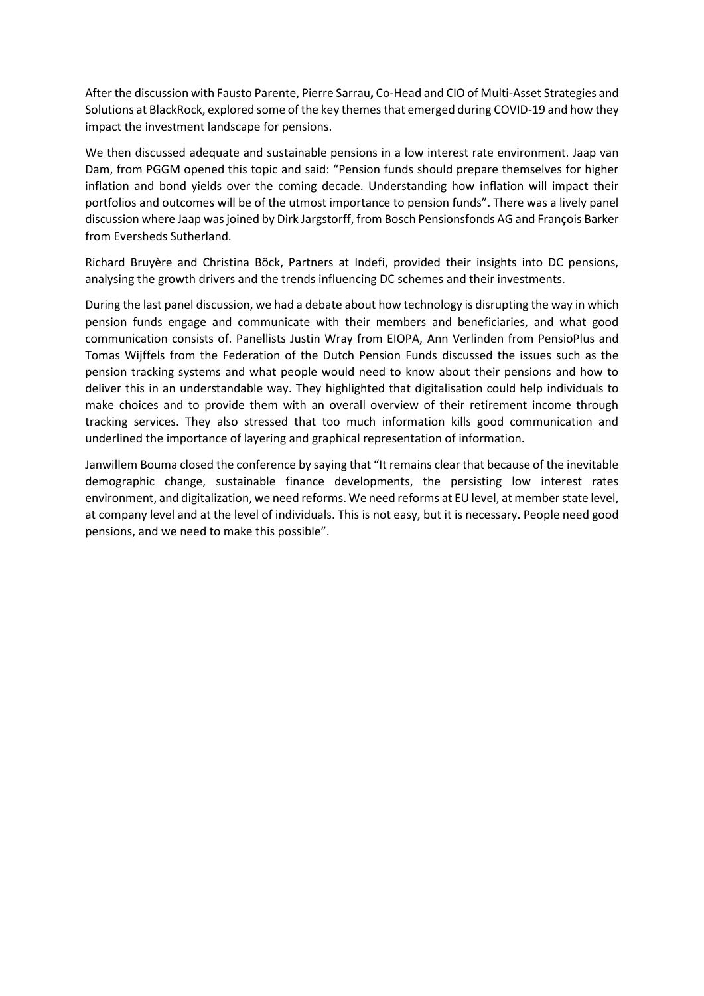After the discussion with Fausto Parente, Pierre Sarrau**,** Co-Head and CIO of Multi-Asset Strategies and Solutions at BlackRock, explored some of the key themes that emerged during COVID-19 and how they impact the investment landscape for pensions.

We then discussed adequate and sustainable pensions in a low interest rate environment. Jaap van Dam, from PGGM opened this topic and said: "Pension funds should prepare themselves for higher inflation and bond yields over the coming decade. Understanding how inflation will impact their portfolios and outcomes will be of the utmost importance to pension funds". There was a lively panel discussion where Jaap was joined by Dirk Jargstorff, from Bosch Pensionsfonds AG and François Barker from Eversheds Sutherland.

Richard Bruyère and Christina Böck, Partners at Indefi, provided their insights into DC pensions, analysing the growth drivers and the trends influencing DC schemes and their investments.

During the last panel discussion, we had a debate about how technology is disrupting the way in which pension funds engage and communicate with their members and beneficiaries, and what good communication consists of. Panellists Justin Wray from EIOPA, Ann Verlinden from PensioPlus and Tomas Wijffels from the Federation of the Dutch Pension Funds discussed the issues such as the pension tracking systems and what people would need to know about their pensions and how to deliver this in an understandable way. They highlighted that digitalisation could help individuals to make choices and to provide them with an overall overview of their retirement income through tracking services. They also stressed that too much information kills good communication and underlined the importance of layering and graphical representation of information.

Janwillem Bouma closed the conference by saying that "It remains clear that because of the inevitable demographic change, sustainable finance developments, the persisting low interest rates environment, and digitalization, we need reforms. We need reforms at EU level, at member state level, at company level and at the level of individuals. This is not easy, but it is necessary. People need good pensions, and we need to make this possible".